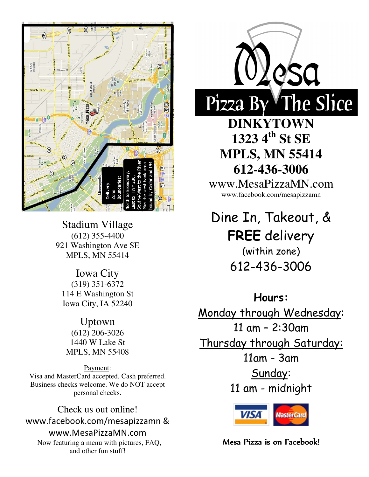

Stadium Village (612) 355-4400 921 Washington Ave SE MPLS, MN 55414

Iowa City (319) 351-6372 114 E Washington St Iowa City, IA 52240

Uptown (612) 206-3026 1440 W Lake St MPLS, MN 55408

Payment: Visa and MasterCard accepted. Cash preferred. Business checks welcome. We do NOT accept personal checks.

Check us out online! www.facebook.com/mesapizzamn & www.MesaPizzaMN.com Now featuring a menu with pictures, FAQ, and other fun stuff!



**DINKYTOWN 1323 4th St SE MPLS, MN 55414 612-436-3006**

www.MesaPizzaMN.com www.facebook.com/mesapizzamn

Dine In, Takeout, & FREE delivery (within zone) 612-436-3006

Hours: Monday through Wednesday: 11 am – 2:30am Thursday through Saturday: 11am - 3am Sunday: 11 am - midnight



Mesa Pizza is on Facebook!